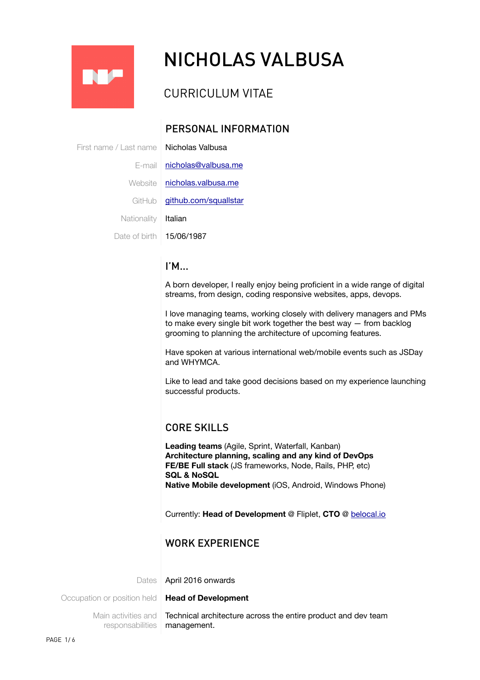

# NICHOLAS VALBUSA

# CURRICULUM VITAE

# PERSONAL INFORMATION

First name / Last name | **Nicholas Valbusa** E-mail [nicholas@valbusa.me](mailto:nicholas@valbusa.me) Website [nicholas.valbusa.me](http://nicholas.valbusa.me) GitHub [github.com/squallstar](http://github.com/squallstar) Nationality | Italian Date of birth **15/06/1987** 

#### I'M...

A born developer, I really enjoy being proficient in a wide range of digital streams, from design, coding responsive websites, apps, devops.

I love managing teams, working closely with delivery managers and PMs to make every single bit work together the best way — from backlog grooming to planning the architecture of upcoming features.

Have spoken at various international web/mobile events such as JSDay and WHYMCA.

Like to lead and take good decisions based on my experience launching successful products.

## CORE SKILLS

**Leading teams** (Agile, Sprint, Waterfall, Kanban) **Architecture planning, scaling and any kind of DevOps FE/BE Full stack** (JS frameworks, Node, Rails, PHP, etc) **SQL & NoSQL Native Mobile development** (iOS, Android, Windows Phone)

Currently: **Head of Development** @ Fliplet, **CTO** @ [belocal.io](http://belocal.io)

## WORK EXPERIENCE

Dates April 2016 onwards

Occupation or position held **Head of Development** 

Main activities and responsabilities

Technical architecture across the entire product and dev team management.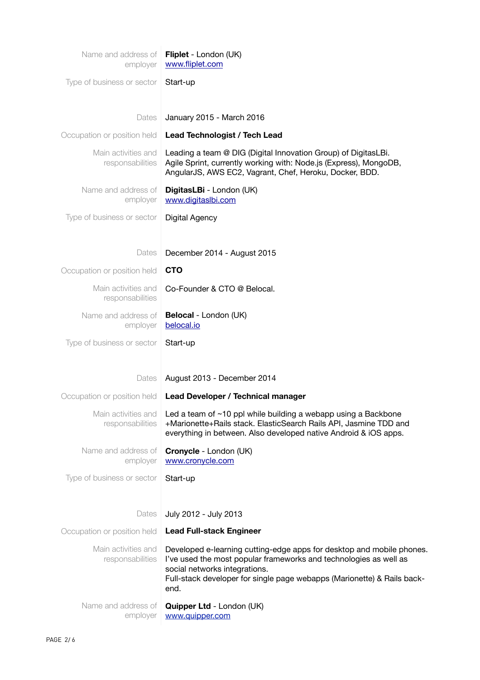| Name and address of<br>employer         | Fliplet - London (UK)<br>www.fliplet.com                                                                                                                                                                                                                       |
|-----------------------------------------|----------------------------------------------------------------------------------------------------------------------------------------------------------------------------------------------------------------------------------------------------------------|
| Type of business or sector              | Start-up                                                                                                                                                                                                                                                       |
|                                         |                                                                                                                                                                                                                                                                |
| Dates                                   | January 2015 - March 2016                                                                                                                                                                                                                                      |
| Occupation or position held             | Lead Technologist / Tech Lead                                                                                                                                                                                                                                  |
| Main activities and<br>responsabilities | Leading a team @ DIG (Digital Innovation Group) of DigitasLBi.<br>Agile Sprint, currently working with: Node.js (Express), MongoDB,<br>AngularJS, AWS EC2, Vagrant, Chef, Heroku, Docker, BDD.                                                                 |
| Name and address of<br>employer         | DigitasLBi - London (UK)<br>www.digitaslbi.com                                                                                                                                                                                                                 |
| Type of business or sector              | Digital Agency                                                                                                                                                                                                                                                 |
|                                         |                                                                                                                                                                                                                                                                |
| Dates                                   | December 2014 - August 2015                                                                                                                                                                                                                                    |
| Occupation or position held             | <b>CTO</b>                                                                                                                                                                                                                                                     |
| Main activities and<br>responsabilities | Co-Founder & CTO @ Belocal.                                                                                                                                                                                                                                    |
| Name and address of<br>employer         | Belocal - London (UK)<br>belocal.io                                                                                                                                                                                                                            |
| Type of business or sector              | Start-up                                                                                                                                                                                                                                                       |
|                                         |                                                                                                                                                                                                                                                                |
| Dates                                   | August 2013 - December 2014                                                                                                                                                                                                                                    |
| Occupation or position held             | Lead Developer / Technical manager                                                                                                                                                                                                                             |
| Main activities and<br>responsabilities | Led a team of $~10$ ppl while building a webapp using a Backbone<br>+Marionette+Rails stack. ElasticSearch Rails API, Jasmine TDD and<br>everything in between. Also developed native Android & iOS apps.                                                      |
| Name and address of<br>employer         | Cronycle - London (UK)<br>www.cronycle.com                                                                                                                                                                                                                     |
| Type of business or sector              | Start-up                                                                                                                                                                                                                                                       |
|                                         |                                                                                                                                                                                                                                                                |
| Dates                                   | July 2012 - July 2013                                                                                                                                                                                                                                          |
| Occupation or position held             | <b>Lead Full-stack Engineer</b>                                                                                                                                                                                                                                |
| Main activities and<br>responsabilities | Developed e-learning cutting-edge apps for desktop and mobile phones.<br>I've used the most popular frameworks and technologies as well as<br>social networks integrations.<br>Full-stack developer for single page webapps (Marionette) & Rails back-<br>end. |
| Name and address of<br>employer         | Quipper Ltd - London (UK)<br>www.quipper.com                                                                                                                                                                                                                   |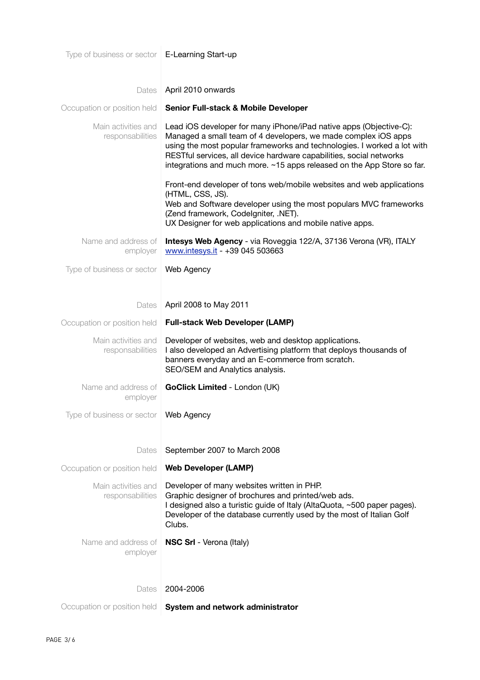| Type of business or sector   E-Learning Start-up |                                                                                                                                                                                                                                                                                                                                                                  |
|--------------------------------------------------|------------------------------------------------------------------------------------------------------------------------------------------------------------------------------------------------------------------------------------------------------------------------------------------------------------------------------------------------------------------|
|                                                  |                                                                                                                                                                                                                                                                                                                                                                  |
| Dates                                            | April 2010 onwards                                                                                                                                                                                                                                                                                                                                               |
| Occupation or position held                      | <b>Senior Full-stack &amp; Mobile Developer</b>                                                                                                                                                                                                                                                                                                                  |
| Main activities and<br>responsabilities          | Lead iOS developer for many iPhone/iPad native apps (Objective-C):<br>Managed a small team of 4 developers, we made complex iOS apps<br>using the most popular frameworks and technologies. I worked a lot with<br>RESTful services, all device hardware capabilities, social networks<br>integrations and much more. ~15 apps released on the App Store so far. |
|                                                  | Front-end developer of tons web/mobile websites and web applications<br>(HTML, CSS, JS).<br>Web and Software developer using the most populars MVC frameworks<br>(Zend framework, Codelgniter, .NET).<br>UX Designer for web applications and mobile native apps.                                                                                                |
| Name and address of<br>employer                  | Intesys Web Agency - via Roveggia 122/A, 37136 Verona (VR), ITALY<br>www.intesys.it - +39 045 503663                                                                                                                                                                                                                                                             |
| Type of business or sector                       | Web Agency                                                                                                                                                                                                                                                                                                                                                       |
| Dates                                            | April 2008 to May 2011                                                                                                                                                                                                                                                                                                                                           |
| Occupation or position held                      | <b>Full-stack Web Developer (LAMP)</b>                                                                                                                                                                                                                                                                                                                           |
| Main activities and<br>responsabilities          | Developer of websites, web and desktop applications.<br>I also developed an Advertising platform that deploys thousands of<br>banners everyday and an E-commerce from scratch.<br>SEO/SEM and Analytics analysis.                                                                                                                                                |
| Name and address of<br>employer                  | GoClick Limited - London (UK)                                                                                                                                                                                                                                                                                                                                    |
| Type of business or sector   Web Agency          |                                                                                                                                                                                                                                                                                                                                                                  |
| Dates                                            | September 2007 to March 2008                                                                                                                                                                                                                                                                                                                                     |
| Occupation or position held                      | <b>Web Developer (LAMP)</b>                                                                                                                                                                                                                                                                                                                                      |
| Main activities and<br>responsabilities          | Developer of many websites written in PHP.<br>Graphic designer of brochures and printed/web ads.<br>I designed also a turistic guide of Italy (AltaQuota, ~500 paper pages).<br>Developer of the database currently used by the most of Italian Golf<br>Clubs.                                                                                                   |
| Name and address of<br>employer                  | <b>NSC Srl</b> - Verona (Italy)                                                                                                                                                                                                                                                                                                                                  |
| Dates                                            | 2004-2006                                                                                                                                                                                                                                                                                                                                                        |
| Occupation or position held                      | System and network administrator                                                                                                                                                                                                                                                                                                                                 |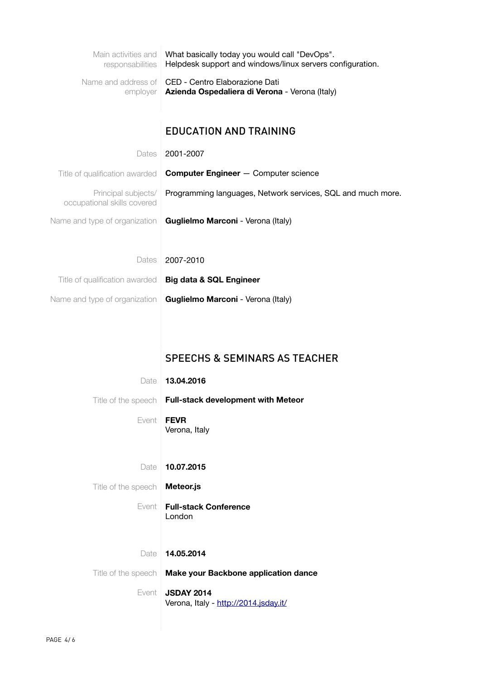| responsabilities                                   | Main activities and What basically today you would call "DevOps".<br>Helpdesk support and windows/linux servers configuration. |
|----------------------------------------------------|--------------------------------------------------------------------------------------------------------------------------------|
| Name and address of<br>employer                    | CED - Centro Elaborazione Dati<br>Azienda Ospedaliera di Verona - Verona (Italy)                                               |
|                                                    |                                                                                                                                |
|                                                    | <b>EDUCATION AND TRAINING</b>                                                                                                  |
| Dates                                              | 2001-2007                                                                                                                      |
| Title of qualification awarded                     | <b>Computer Engineer</b> - Computer science                                                                                    |
| Principal subjects/<br>occupational skills covered | Programming languages, Network services, SQL and much more.                                                                    |
| Name and type of organization                      | Guglielmo Marconi - Verona (Italy)                                                                                             |
|                                                    |                                                                                                                                |
| Dates                                              | 2007-2010                                                                                                                      |
| Title of qualification awarded                     | <b>Big data &amp; SQL Engineer</b>                                                                                             |
| Name and type of organization                      | Guglielmo Marconi - Verona (Italy)                                                                                             |
|                                                    |                                                                                                                                |
|                                                    |                                                                                                                                |
|                                                    |                                                                                                                                |
|                                                    | <b>SPEECHS &amp; SEMINARS AS TEACHER</b>                                                                                       |
| Date                                               | 13.04.2016                                                                                                                     |
| Title of the speech                                | <b>Full-stack development with Meteor</b>                                                                                      |
| Event                                              | <b>FEVR</b>                                                                                                                    |
|                                                    | Verona, Italy                                                                                                                  |
| Date                                               | 10.07.2015                                                                                                                     |
| Title of the speech                                | Meteor.js                                                                                                                      |
| Event                                              | <b>Full-stack Conference</b><br>London                                                                                         |
|                                                    |                                                                                                                                |
| Date                                               | 14.05.2014                                                                                                                     |
| Title of the speech                                | Make your Backbone application dance                                                                                           |
| Event                                              | <b>JSDAY 2014</b>                                                                                                              |
|                                                    | Verona, Italy - http://2014.jsday.it/                                                                                          |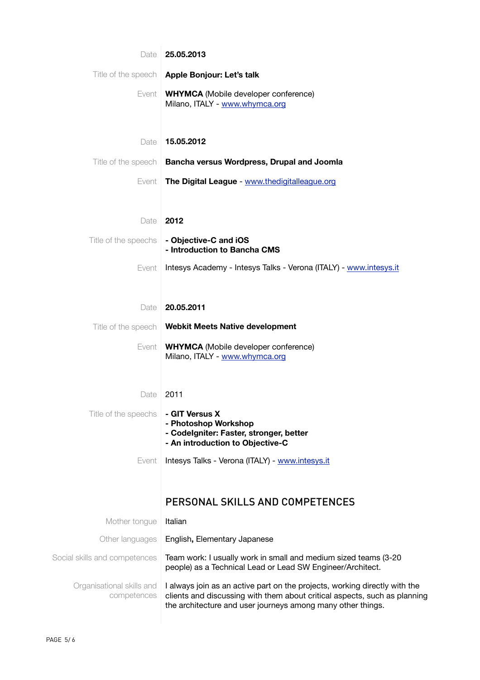| Date                                     | 25.05.2013                                                                                                                                                                                                             |
|------------------------------------------|------------------------------------------------------------------------------------------------------------------------------------------------------------------------------------------------------------------------|
|                                          | Title of the speech   Apple Bonjour: Let's talk                                                                                                                                                                        |
| Event                                    | <b>WHYMCA</b> (Mobile developer conference)<br>Milano, ITALY - www.whymca.org                                                                                                                                          |
| Date                                     | 15.05.2012                                                                                                                                                                                                             |
| Title of the speech                      | Bancha versus Wordpress, Drupal and Joomla                                                                                                                                                                             |
| Event                                    | The Digital League - www.thedigitalleague.org                                                                                                                                                                          |
| Date                                     | 2012                                                                                                                                                                                                                   |
| Title of the speechs                     | - Objective-C and iOS<br>- Introduction to Bancha CMS                                                                                                                                                                  |
| Event                                    | Intesys Academy - Intesys Talks - Verona (ITALY) - www.intesys.it                                                                                                                                                      |
| Date                                     | 20.05.2011                                                                                                                                                                                                             |
| Title of the speech                      | <b>Webkit Meets Native development</b>                                                                                                                                                                                 |
| Event                                    | <b>WHYMCA</b> (Mobile developer conference)<br>Milano, ITALY - www.whymca.org                                                                                                                                          |
| Date                                     | 2011                                                                                                                                                                                                                   |
| Title of the speechs                     | - GIT Versus X<br>- Photoshop Workshop<br>- Codelgniter: Faster, stronger, better<br>- An introduction to Objective-C                                                                                                  |
| Event                                    | Intesys Talks - Verona (ITALY) - www.intesys.it                                                                                                                                                                        |
|                                          | PERSONAL SKILLS AND COMPETENCES                                                                                                                                                                                        |
| Mother tongue                            | Italian                                                                                                                                                                                                                |
| Other languages                          | English, Elementary Japanese                                                                                                                                                                                           |
| Social skills and competences            | Team work: I usually work in small and medium sized teams (3-20<br>people) as a Technical Lead or Lead SW Engineer/Architect.                                                                                          |
| Organisational skills and<br>competences | I always join as an active part on the projects, working directly with the<br>clients and discussing with them about critical aspects, such as planning<br>the architecture and user journeys among many other things. |